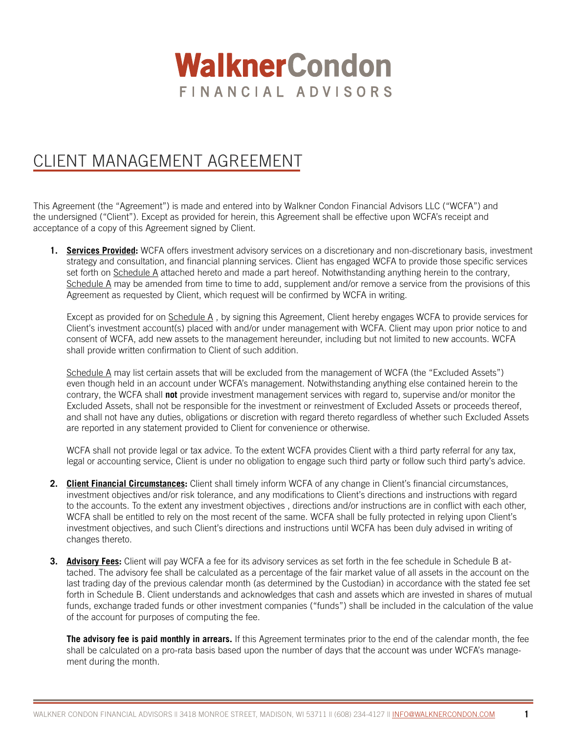# **WalknerCondon** FINANCIAL ADVISORS

## CLIENT MANAGEMENT AGREEMENT

This Agreement (the "Agreement") is made and entered into by Walkner Condon Financial Advisors LLC ("WCFA") and the undersigned ("Client"). Except as provided for herein, this Agreement shall be effective upon WCFA's receipt and acceptance of a copy of this Agreement signed by Client.

**1. Services Provided:** WCFA offers investment advisory services on a discretionary and non-discretionary basis, investment strategy and consultation, and financial planning services. Client has engaged WCFA to provide those specific services set forth on Schedule A attached hereto and made a part hereof. Notwithstanding anything herein to the contrary, Schedule A may be amended from time to time to add, supplement and/or remove a service from the provisions of this Agreement as requested by Client, which request will be confirmed by WCFA in writing.

Except as provided for on Schedule A , by signing this Agreement, Client hereby engages WCFA to provide services for Client's investment account(s) placed with and/or under management with WCFA. Client may upon prior notice to and consent of WCFA, add new assets to the management hereunder, including but not limited to new accounts. WCFA shall provide written confirmation to Client of such addition.

Schedule A may list certain assets that will be excluded from the management of WCFA (the "Excluded Assets") even though held in an account under WCFA's management. Notwithstanding anything else contained herein to the contrary, the WCFA shall **not** provide investment management services with regard to, supervise and/or monitor the Excluded Assets, shall not be responsible for the investment or reinvestment of Excluded Assets or proceeds thereof, and shall not have any duties, obligations or discretion with regard thereto regardless of whether such Excluded Assets are reported in any statement provided to Client for convenience or otherwise.

WCFA shall not provide legal or tax advice. To the extent WCFA provides Client with a third party referral for any tax, legal or accounting service, Client is under no obligation to engage such third party or follow such third party's advice.

- **2. Client Financial Circumstances:** Client shall timely inform WCFA of any change in Client's financial circumstances, investment objectives and/or risk tolerance, and any modifications to Client's directions and instructions with regard to the accounts. To the extent any investment objectives , directions and/or instructions are in conflict with each other, WCFA shall be entitled to rely on the most recent of the same. WCFA shall be fully protected in relying upon Client's investment objectives, and such Client's directions and instructions until WCFA has been duly advised in writing of changes thereto.
- **3. Advisory Fees:** Client will pay WCFA a fee for its advisory services as set forth in the fee schedule in Schedule B attached. The advisory fee shall be calculated as a percentage of the fair market value of all assets in the account on the last trading day of the previous calendar month (as determined by the Custodian) in accordance with the stated fee set forth in Schedule B. Client understands and acknowledges that cash and assets which are invested in shares of mutual funds, exchange traded funds or other investment companies ("funds") shall be included in the calculation of the value of the account for purposes of computing the fee.

**The advisory fee is paid monthly in arrears.** If this Agreement terminates prior to the end of the calendar month, the fee shall be calculated on a pro-rata basis based upon the number of days that the account was under WCFA's management during the month.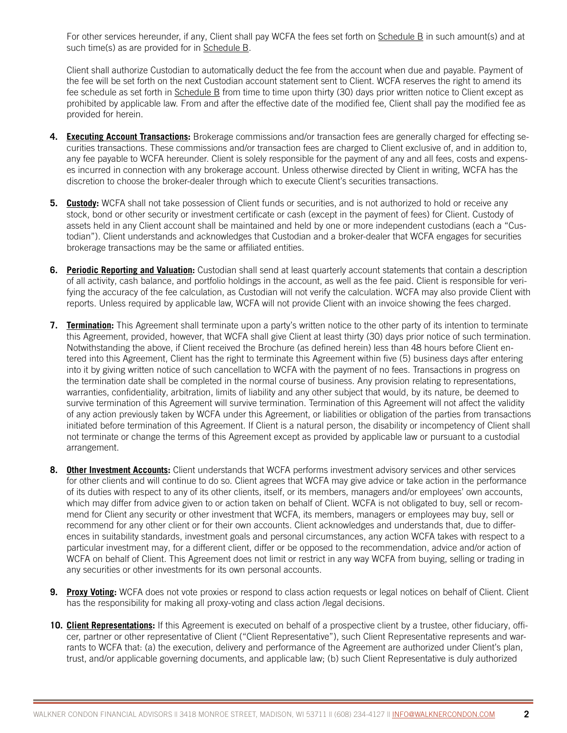For other services hereunder, if any, Client shall pay WCFA the fees set forth on Schedule B in such amount(s) and at such time(s) as are provided for in Schedule B.

Client shall authorize Custodian to automatically deduct the fee from the account when due and payable. Payment of the fee will be set forth on the next Custodian account statement sent to Client. WCFA reserves the right to amend its fee schedule as set forth in Schedule B from time to time upon thirty (30) days prior written notice to Client except as prohibited by applicable law. From and after the effective date of the modified fee, Client shall pay the modified fee as provided for herein.

- **4. Executing Account Transactions:** Brokerage commissions and/or transaction fees are generally charged for effecting securities transactions. These commissions and/or transaction fees are charged to Client exclusive of, and in addition to, any fee payable to WCFA hereunder. Client is solely responsible for the payment of any and all fees, costs and expenses incurred in connection with any brokerage account. Unless otherwise directed by Client in writing, WCFA has the discretion to choose the broker-dealer through which to execute Client's securities transactions.
- **5. Custody:** WCFA shall not take possession of Client funds or securities, and is not authorized to hold or receive any stock, bond or other security or investment certificate or cash (except in the payment of fees) for Client. Custody of assets held in any Client account shall be maintained and held by one or more independent custodians (each a "Custodian"). Client understands and acknowledges that Custodian and a broker-dealer that WCFA engages for securities brokerage transactions may be the same or affiliated entities.
- **6. Periodic Reporting and Valuation:** Custodian shall send at least quarterly account statements that contain a description of all activity, cash balance, and portfolio holdings in the account, as well as the fee paid. Client is responsible for verifying the accuracy of the fee calculation, as Custodian will not verify the calculation. WCFA may also provide Client with reports. Unless required by applicable law, WCFA will not provide Client with an invoice showing the fees charged.
- **7. Termination:** This Agreement shall terminate upon a party's written notice to the other party of its intention to terminate this Agreement, provided, however, that WCFA shall give Client at least thirty (30) days prior notice of such termination. Notwithstanding the above, if Client received the Brochure (as defined herein) less than 48 hours before Client entered into this Agreement, Client has the right to terminate this Agreement within five (5) business days after entering into it by giving written notice of such cancellation to WCFA with the payment of no fees. Transactions in progress on the termination date shall be completed in the normal course of business. Any provision relating to representations, warranties, confidentiality, arbitration, limits of liability and any other subject that would, by its nature, be deemed to survive termination of this Agreement will survive termination. Termination of this Agreement will not affect the validity of any action previously taken by WCFA under this Agreement, or liabilities or obligation of the parties from transactions initiated before termination of this Agreement. If Client is a natural person, the disability or incompetency of Client shall not terminate or change the terms of this Agreement except as provided by applicable law or pursuant to a custodial arrangement.
- **8. Other Investment Accounts:** Client understands that WCFA performs investment advisory services and other services for other clients and will continue to do so. Client agrees that WCFA may give advice or take action in the performance of its duties with respect to any of its other clients, itself, or its members, managers and/or employees' own accounts, which may differ from advice given to or action taken on behalf of Client. WCFA is not obligated to buy, sell or recommend for Client any security or other investment that WCFA, its members, managers or employees may buy, sell or recommend for any other client or for their own accounts. Client acknowledges and understands that, due to differences in suitability standards, investment goals and personal circumstances, any action WCFA takes with respect to a particular investment may, for a different client, differ or be opposed to the recommendation, advice and/or action of WCFA on behalf of Client. This Agreement does not limit or restrict in any way WCFA from buying, selling or trading in any securities or other investments for its own personal accounts.
- **9. Proxy Voting:** WCFA does not vote proxies or respond to class action requests or legal notices on behalf of Client. Client has the responsibility for making all proxy-voting and class action /legal decisions.
- **10. Client Representations:** If this Agreement is executed on behalf of a prospective client by a trustee, other fiduciary, officer, partner or other representative of Client ("Client Representative"), such Client Representative represents and warrants to WCFA that: (a) the execution, delivery and performance of the Agreement are authorized under Client's plan, trust, and/or applicable governing documents, and applicable law; (b) such Client Representative is duly authorized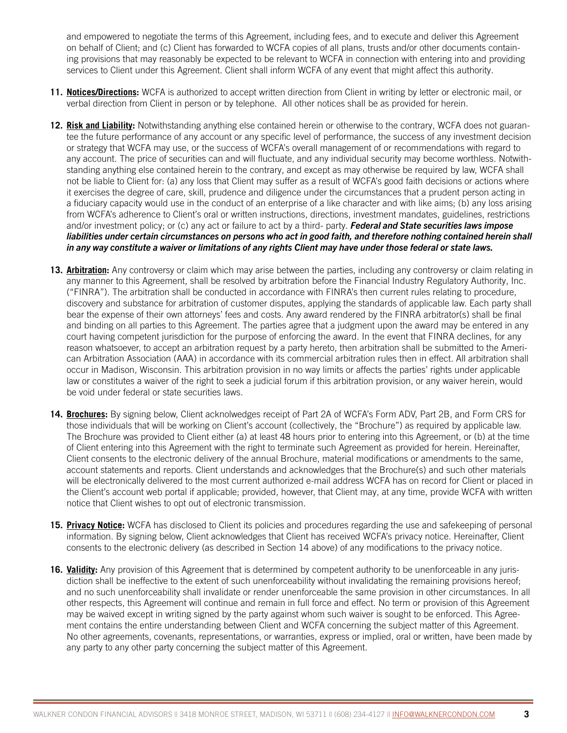and empowered to negotiate the terms of this Agreement, including fees, and to execute and deliver this Agreement on behalf of Client; and (c) Client has forwarded to WCFA copies of all plans, trusts and/or other documents containing provisions that may reasonably be expected to be relevant to WCFA in connection with entering into and providing services to Client under this Agreement. Client shall inform WCFA of any event that might affect this authority.

- **11. Notices/Directions:** WCFA is authorized to accept written direction from Client in writing by letter or electronic mail, or verbal direction from Client in person or by telephone. All other notices shall be as provided for herein.
- **12. Risk and Liability:** Notwithstanding anything else contained herein or otherwise to the contrary, WCFA does not guarantee the future performance of any account or any specific level of performance, the success of any investment decision or strategy that WCFA may use, or the success of WCFA's overall management of or recommendations with regard to any account. The price of securities can and will fluctuate, and any individual security may become worthless. Notwithstanding anything else contained herein to the contrary, and except as may otherwise be required by law, WCFA shall not be liable to Client for: (a) any loss that Client may suffer as a result of WCFA's good faith decisions or actions where it exercises the degree of care, skill, prudence and diligence under the circumstances that a prudent person acting in a fiduciary capacity would use in the conduct of an enterprise of a like character and with like aims; (b) any loss arising from WCFA's adherence to Client's oral or written instructions, directions, investment mandates, guidelines, restrictions and/or investment policy; or (c) any act or failure to act by a third- party. *Federal and State securities laws impose*  liabilities under certain circumstances on persons who act in good faith, and therefore nothing contained herein shall *in any way constitute a waiver or limitations of any rights Client may have under those federal or state laws.*
- **13. Arbitration:** Any controversy or claim which may arise between the parties, including any controversy or claim relating in any manner to this Agreement, shall be resolved by arbitration before the Financial Industry Regulatory Authority, Inc. ("FINRA"). The arbitration shall be conducted in accordance with FINRA's then current rules relating to procedure, discovery and substance for arbitration of customer disputes, applying the standards of applicable law. Each party shall bear the expense of their own attorneys' fees and costs. Any award rendered by the FINRA arbitrator(s) shall be final and binding on all parties to this Agreement. The parties agree that a judgment upon the award may be entered in any court having competent jurisdiction for the purpose of enforcing the award. In the event that FINRA declines, for any reason whatsoever, to accept an arbitration request by a party hereto, then arbitration shall be submitted to the American Arbitration Association (AAA) in accordance with its commercial arbitration rules then in effect. All arbitration shall occur in Madison, Wisconsin. This arbitration provision in no way limits or affects the parties' rights under applicable law or constitutes a waiver of the right to seek a judicial forum if this arbitration provision, or any waiver herein, would be void under federal or state securities laws.
- **14. Brochures:** By signing below, Client acknolwedges receipt of Part 2A of WCFA's Form ADV, Part 2B, and Form CRS for those individuals that will be working on Client's account (collectively, the "Brochure") as required by applicable law. The Brochure was provided to Client either (a) at least 48 hours prior to entering into this Agreement, or (b) at the time of Client entering into this Agreement with the right to terminate such Agreement as provided for herein. Hereinafter, Client consents to the electronic delivery of the annual Brochure, material modifications or amendments to the same, account statements and reports. Client understands and acknowledges that the Brochure(s) and such other materials will be electronically delivered to the most current authorized e-mail address WCFA has on record for Client or placed in the Client's account web portal if applicable; provided, however, that Client may, at any time, provide WCFA with written notice that Client wishes to opt out of electronic transmission.
- **15. Privacy Notice:** WCFA has disclosed to Client its policies and procedures regarding the use and safekeeping of personal information. By signing below, Client acknowledges that Client has received WCFA's privacy notice. Hereinafter, Client consents to the electronic delivery (as described in Section 14 above) of any modifications to the privacy notice.
- **16. Validity:** Any provision of this Agreement that is determined by competent authority to be unenforceable in any jurisdiction shall be ineffective to the extent of such unenforceability without invalidating the remaining provisions hereof; and no such unenforceability shall invalidate or render unenforceable the same provision in other circumstances. In all other respects, this Agreement will continue and remain in full force and effect. No term or provision of this Agreement may be waived except in writing signed by the party against whom such waiver is sought to be enforced. This Agreement contains the entire understanding between Client and WCFA concerning the subject matter of this Agreement. No other agreements, covenants, representations, or warranties, express or implied, oral or written, have been made by any party to any other party concerning the subject matter of this Agreement.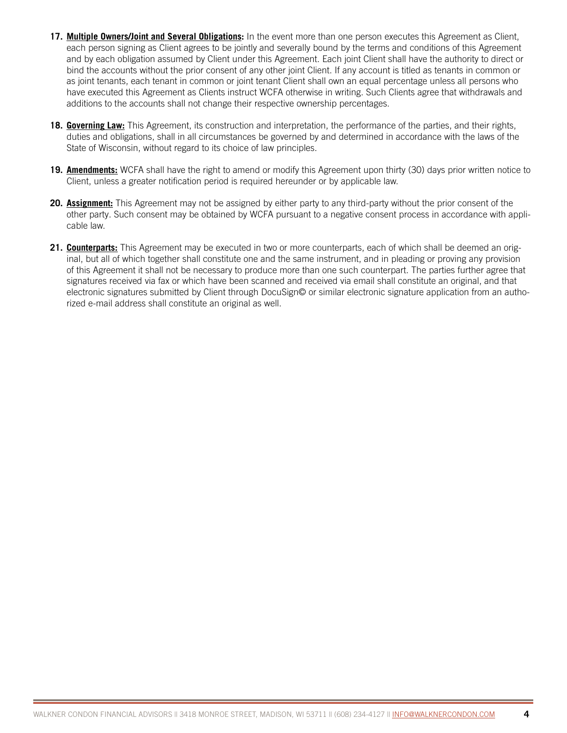- **17. Multiple Owners/Joint and Several Obligations:** In the event more than one person executes this Agreement as Client, each person signing as Client agrees to be jointly and severally bound by the terms and conditions of this Agreement and by each obligation assumed by Client under this Agreement. Each joint Client shall have the authority to direct or bind the accounts without the prior consent of any other joint Client. If any account is titled as tenants in common or as joint tenants, each tenant in common or joint tenant Client shall own an equal percentage unless all persons who have executed this Agreement as Clients instruct WCFA otherwise in writing. Such Clients agree that withdrawals and additions to the accounts shall not change their respective ownership percentages.
- **18. Governing Law:** This Agreement, its construction and interpretation, the performance of the parties, and their rights, duties and obligations, shall in all circumstances be governed by and determined in accordance with the laws of the State of Wisconsin, without regard to its choice of law principles.
- **19. Amendments:** WCFA shall have the right to amend or modify this Agreement upon thirty (30) days prior written notice to Client, unless a greater notification period is required hereunder or by applicable law.
- **20. Assignment:** This Agreement may not be assigned by either party to any third-party without the prior consent of the other party. Such consent may be obtained by WCFA pursuant to a negative consent process in accordance with applicable law.
- **21. Counterparts:** This Agreement may be executed in two or more counterparts, each of which shall be deemed an original, but all of which together shall constitute one and the same instrument, and in pleading or proving any provision of this Agreement it shall not be necessary to produce more than one such counterpart. The parties further agree that signatures received via fax or which have been scanned and received via email shall constitute an original, and that electronic signatures submitted by Client through DocuSign© or similar electronic signature application from an authorized e-mail address shall constitute an original as well.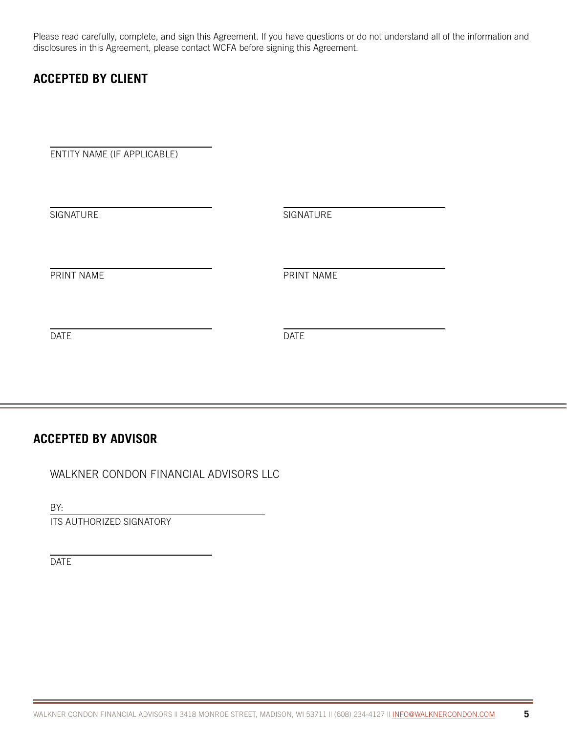Please read carefully, complete, and sign this Agreement. If you have questions or do not understand all of the information and disclosures in this Agreement, please contact WCFA before signing this Agreement.

## **ACCEPTED BY CLIENT**

ENTITY NAME (IF APPLICABLE)

**SIGNATURE SIGNATURE** PRINT NAME PRINT NAME DATE DATE

## **ACCEPTED BY ADVISOR**

WALKNER CONDON FINANCIAL ADVISORS LLC

BY:

ITS AUTHORIZED SIGNATORY

DATE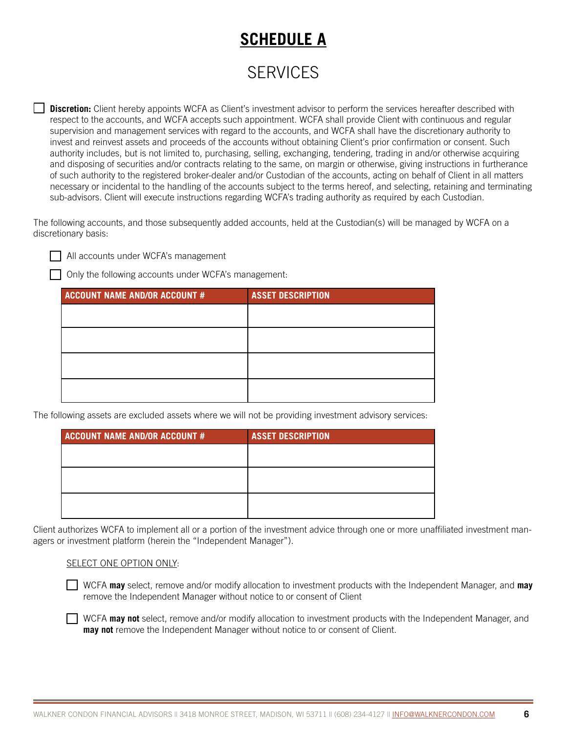## **SCHEDULE A**

## **SERVICES**

**Discretion:** Client hereby appoints WCFA as Client's investment advisor to perform the services hereafter described with respect to the accounts, and WCFA accepts such appointment. WCFA shall provide Client with continuous and regular supervision and management services with regard to the accounts, and WCFA shall have the discretionary authority to invest and reinvest assets and proceeds of the accounts without obtaining Client's prior confirmation or consent. Such authority includes, but is not limited to, purchasing, selling, exchanging, tendering, trading in and/or otherwise acquiring and disposing of securities and/or contracts relating to the same, on margin or otherwise, giving instructions in furtherance of such authority to the registered broker-dealer and/or Custodian of the accounts, acting on behalf of Client in all matters necessary or incidental to the handling of the accounts subject to the terms hereof, and selecting, retaining and terminating sub-advisors. Client will execute instructions regarding WCFA's trading authority as required by each Custodian.

The following accounts, and those subsequently added accounts, held at the Custodian(s) will be managed by WCFA on a discretionary basis:

All accounts under WCFA's management

Only the following accounts under WCFA's management:

| <b>ACCOUNT NAME AND/OR ACCOUNT #</b> | <b>ASSET DESCRIPTION</b> |
|--------------------------------------|--------------------------|
|                                      |                          |
|                                      |                          |
|                                      |                          |
|                                      |                          |
|                                      |                          |

The following assets are excluded assets where we will not be providing investment advisory services:

| <b>ASSET DESCRIPTION</b> |
|--------------------------|
|                          |
|                          |
|                          |
|                          |
|                          |
|                          |

Client authorizes WCFA to implement all or a portion of the investment advice through one or more unaffiliated investment managers or investment platform (herein the "Independent Manager").

#### SELECT ONE OPTION ONLY:

WCFA **may** select, remove and/or modify allocation to investment products with the Independent Manager, and **may** remove the Independent Manager without notice to or consent of Client

WCFA **may not** select, remove and/or modify allocation to investment products with the Independent Manager, and **may not** remove the Independent Manager without notice to or consent of Client.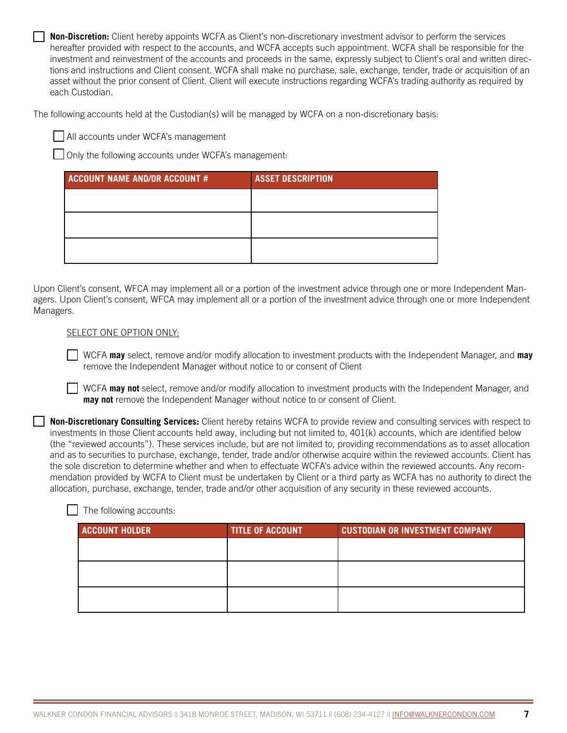**Non-Discretion:** Client hereby appoints WCFA as Client's non-discretionary investment advisor to perform the services hereafter provided with respect to the accounts, and WCFA accepts such appointment. WCFA shall be responsible for the investment and reinvestment of the accounts and proceeds in the same, expressly subject to Client's oral and written directions and instructions and Client consent. WCFA shall make no purchase, sale, exchange, tender, trade or acquisition of an asset without the prior consent of Client. Client will execute instructions regarding WCFA's trading authority as required by each Custodian.

The following accounts held at the Custodian(s) will be managed by WCFA on a non-discretionary basis:

All accounts under WCFA's management

Only the following accounts under WCFA's management:

| <b>ACCOUNT NAME AND/OR ACCOUNT #</b> | <b>ASSET DESCRIPTION</b> |
|--------------------------------------|--------------------------|
|                                      |                          |
|                                      |                          |
|                                      |                          |
|                                      |                          |

Upon Client's consent, WFCA may implement all or a portion of the investment advice through one or more Independent Managers. Upon Client's consent, WFCA may implement all or a portion of the investment advice through one or more Independent Managers.

#### SELECT ONE OPTION ONLY:

WCFA **may** select, remove and/or modify allocation to investment products with the Independent Manager, and **may** remove the Independent Manager without notice to or consent of Client

WCFA **may not** select, remove and/or modify allocation to investment products with the Independent Manager, and **may not** remove the Independent Manager without notice to or consent of Client.

**Non-Discretionary Consulting Services:** Client hereby retains WCFA to provide review and consulting services with respect to investments in those Client accounts held away, including but not limited to, 401(k) accounts, which are identified below (the "reviewed accounts"). These services include, but are not limited to, providing recommendations as to asset allocation and as to securities to purchase, exchange, tender, trade and/or otherwise acquire within the reviewed accounts. Client has the sole discretion to determine whether and when to effectuate WCFA's advice within the reviewed accounts. Any recommendation provided by WCFA to Client must be undertaken by Client or a third party as WCFA has no authority to direct the allocation, purchase, exchange, tender, trade and/or other acquisition of any security in these reviewed accounts.

| <b>ACCOUNT HOLDER</b> | <b>TITLE OF ACCOUNT</b> | <b>CUSTODIAN OR INVESTMENT COMPANY</b> |
|-----------------------|-------------------------|----------------------------------------|
|                       |                         |                                        |
|                       |                         |                                        |
|                       |                         |                                        |
|                       |                         |                                        |

The following accounts: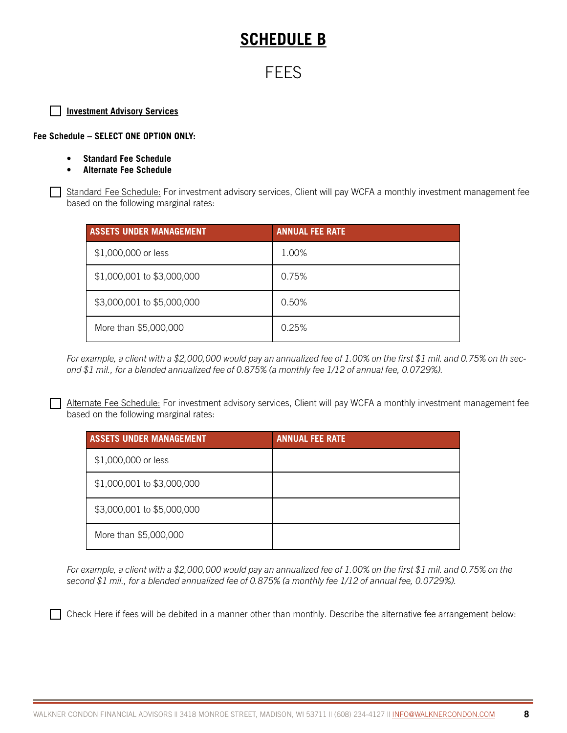## **SCHEDULE B**

## FEES

#### **Investment Advisory Services**

**Fee Schedule – SELECT ONE OPTION ONLY:** 

- **• Standard Fee Schedule**
- **• Alternate Fee Schedule**

Standard Fee Schedule: For investment advisory services, Client will pay WCFA a monthly investment management fee based on the following marginal rates:

| <b>ASSETS UNDER MANAGEMENT</b> | <b>ANNUAL FEE RATE</b> |
|--------------------------------|------------------------|
| \$1,000,000 or less            | 1.00%                  |
| \$1,000,001 to \$3,000,000     | 0.75%                  |
| \$3,000,001 to \$5,000,000     | 0.50%                  |
| More than \$5,000,000          | 0.25%                  |

*For example, a client with a \$2,000,000 would pay an annualized fee of 1.00% on the first \$1 mil. and 0.75% on th second \$1 mil., for a blended annualized fee of 0.875% (a monthly fee 1/12 of annual fee, 0.0729%).*

Alternate Fee Schedule: For investment advisory services, Client will pay WCFA a monthly investment management fee based on the following marginal rates:

| <b>ASSETS UNDER MANAGEMENT</b> | <b>ANNUAL FEE RATE</b> |
|--------------------------------|------------------------|
| \$1,000,000 or less            |                        |
| \$1,000,001 to \$3,000,000     |                        |
| \$3,000,001 to \$5,000,000     |                        |
| More than \$5,000,000          |                        |

*For example, a client with a \$2,000,000 would pay an annualized fee of 1.00% on the first \$1 mil. and 0.75% on the second \$1 mil., for a blended annualized fee of 0.875% (a monthly fee 1/12 of annual fee, 0.0729%).*

Check Here if fees will be debited in a manner other than monthly. Describe the alternative fee arrangement below: